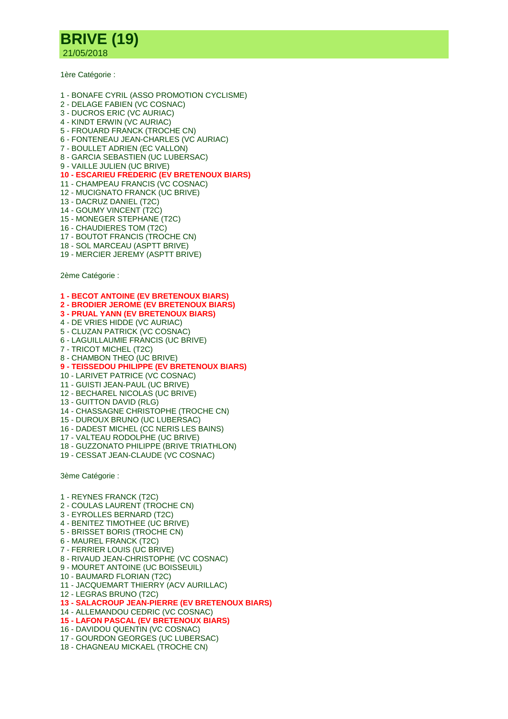

1ère Catégorie :

- 1 BONAFE CYRIL (ASSO PROMOTION CYCLISME)
- 2 DELAGE FABIEN (VC COSNAC)
- 3 DUCROS ERIC (VC AURIAC)
- 4 KINDT ERWIN (VC AURIAC)
- 5 FROUARD FRANCK (TROCHE CN)
- 6 FONTENEAU JEAN-CHARLES (VC AURIAC)
- 7 BOULLET ADRIEN (EC VALLON)
- 8 GARCIA SEBASTIEN (UC LUBERSAC)
- 9 VAILLE JULIEN (UC BRIVE)
- **10 - ESCARIEU FREDERIC (EV BRETENOUX BIARS)**
- 11 CHAMPEAU FRANCIS (VC COSNAC)
- 12 MUCIGNATO FRANCK (UC BRIVE)
- 13 DACRUZ DANIEL (T2C)
- 14 GOUMY VINCENT (T2C)
- 15 MONEGER STEPHANE (T2C)
- 16 CHAUDIERES TOM (T2C)
- 17 BOUTOT FRANCIS (TROCHE CN)
- 18 SOL MARCEAU (ASPTT BRIVE)
- 19 MERCIER JEREMY (ASPTT BRIVE)

2ème Catégorie :

- **1 - BECOT ANTOINE (EV BRETENOUX BIARS)**
- **2 - BRODIER JEROME (EV BRETENOUX BIARS)**
- **3 - PRUAL YANN (EV BRETENOUX BIARS)**
- 4 DE VRIES HIDDE (VC AURIAC)
- 5 CLUZAN PATRICK (VC COSNAC)
- 6 LAGUILLAUMIE FRANCIS (UC BRIVE)
- 7 TRICOT MICHEL (T2C)
- 8 CHAMBON THEO (UC BRIVE)
- **9 - TEISSEDOU PHILIPPE (EV BRETENOUX BIARS)**
- 10 LARIVET PATRICE (VC COSNAC)
- 11 GUISTI JEAN-PAUL (UC BRIVE)
- 12 BECHAREL NICOLAS (UC BRIVE)
- 13 GUITTON DAVID (RLG)
- 14 CHASSAGNE CHRISTOPHE (TROCHE CN)
- 15 DUROUX BRUNO (UC LUBERSAC)
- 16 DADEST MICHEL (CC NERIS LES BAINS)
- 17 VALTEAU RODOLPHE (UC BRIVE)
- 18 GUZZONATO PHILIPPE (BRIVE TRIATHLON)
- 19 CESSAT JEAN-CLAUDE (VC COSNAC)

3ème Catégorie :

- 1 REYNES FRANCK (T2C)
- 2 COULAS LAURENT (TROCHE CN)
- 3 EYROLLES BERNARD (T2C)
- 4 BENITEZ TIMOTHEE (UC BRIVE)
- 5 BRISSET BORIS (TROCHE CN)
- 6 MAUREL FRANCK (T2C)
- 7 FERRIER LOUIS (UC BRIVE)
- 8 RIVAUD JEAN-CHRISTOPHE (VC COSNAC)
- 9 MOURET ANTOINE (UC BOISSEUIL)
- 10 BAUMARD FLORIAN (T2C) 11 - JACQUEMART THIERRY (ACV AURILLAC)
- 12 LEGRAS BRUNO (T2C)
- **13 - SALACROUP JEAN-PIERRE (EV BRETENOUX BIARS)**
- 14 ALLEMANDOU CEDRIC (VC COSNAC)
- **15 - LAFON PASCAL (EV BRETENOUX BIARS)**
- 16 DAVIDOU QUENTIN (VC COSNAC)
- 17 GOURDON GEORGES (UC LUBERSAC)
- 18 CHAGNEAU MICKAEL (TROCHE CN)